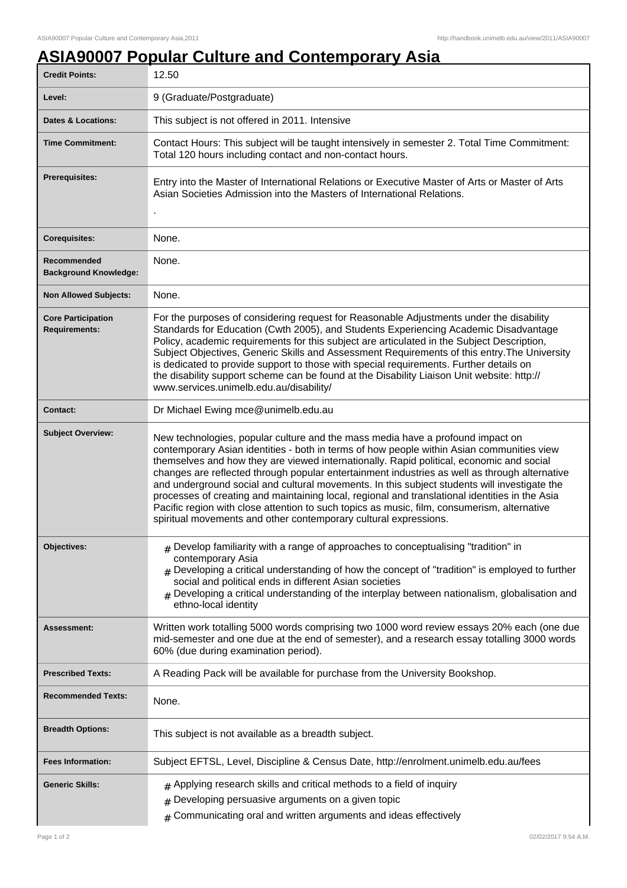## **ASIA90007 Popular Culture and Contemporary Asia**

| <b>Credit Points:</b>                             | 12.50                                                                                                                                                                                                                                                                                                                                                                                                                                                                                                                                                                                                                                                                                                                                         |
|---------------------------------------------------|-----------------------------------------------------------------------------------------------------------------------------------------------------------------------------------------------------------------------------------------------------------------------------------------------------------------------------------------------------------------------------------------------------------------------------------------------------------------------------------------------------------------------------------------------------------------------------------------------------------------------------------------------------------------------------------------------------------------------------------------------|
| Level:                                            | 9 (Graduate/Postgraduate)                                                                                                                                                                                                                                                                                                                                                                                                                                                                                                                                                                                                                                                                                                                     |
| <b>Dates &amp; Locations:</b>                     | This subject is not offered in 2011. Intensive                                                                                                                                                                                                                                                                                                                                                                                                                                                                                                                                                                                                                                                                                                |
| <b>Time Commitment:</b>                           | Contact Hours: This subject will be taught intensively in semester 2. Total Time Commitment:<br>Total 120 hours including contact and non-contact hours.                                                                                                                                                                                                                                                                                                                                                                                                                                                                                                                                                                                      |
| <b>Prerequisites:</b>                             | Entry into the Master of International Relations or Executive Master of Arts or Master of Arts<br>Asian Societies Admission into the Masters of International Relations.                                                                                                                                                                                                                                                                                                                                                                                                                                                                                                                                                                      |
| <b>Corequisites:</b>                              | None.                                                                                                                                                                                                                                                                                                                                                                                                                                                                                                                                                                                                                                                                                                                                         |
| Recommended<br><b>Background Knowledge:</b>       | None.                                                                                                                                                                                                                                                                                                                                                                                                                                                                                                                                                                                                                                                                                                                                         |
| <b>Non Allowed Subjects:</b>                      | None.                                                                                                                                                                                                                                                                                                                                                                                                                                                                                                                                                                                                                                                                                                                                         |
| <b>Core Participation</b><br><b>Requirements:</b> | For the purposes of considering request for Reasonable Adjustments under the disability<br>Standards for Education (Cwth 2005), and Students Experiencing Academic Disadvantage<br>Policy, academic requirements for this subject are articulated in the Subject Description,<br>Subject Objectives, Generic Skills and Assessment Requirements of this entry. The University<br>is dedicated to provide support to those with special requirements. Further details on<br>the disability support scheme can be found at the Disability Liaison Unit website: http://<br>www.services.unimelb.edu.au/disability/                                                                                                                              |
| <b>Contact:</b>                                   | Dr Michael Ewing mce@unimelb.edu.au                                                                                                                                                                                                                                                                                                                                                                                                                                                                                                                                                                                                                                                                                                           |
| <b>Subject Overview:</b>                          | New technologies, popular culture and the mass media have a profound impact on<br>contemporary Asian identities - both in terms of how people within Asian communities view<br>themselves and how they are viewed internationally. Rapid political, economic and social<br>changes are reflected through popular entertainment industries as well as through alternative<br>and underground social and cultural movements. In this subject students will investigate the<br>processes of creating and maintaining local, regional and translational identities in the Asia<br>Pacific region with close attention to such topics as music, film, consumerism, alternative<br>spiritual movements and other contemporary cultural expressions. |
| Objectives:                                       | $#$ Develop familiarity with a range of approaches to conceptualising "tradition" in<br>contemporary Asia<br>$#$ Developing a critical understanding of how the concept of "tradition" is employed to further<br>social and political ends in different Asian societies<br>Developing a critical understanding of the interplay between nationalism, globalisation and<br>#<br>ethno-local identity                                                                                                                                                                                                                                                                                                                                           |
| Assessment:                                       | Written work totalling 5000 words comprising two 1000 word review essays 20% each (one due<br>mid-semester and one due at the end of semester), and a research essay totalling 3000 words<br>60% (due during examination period).                                                                                                                                                                                                                                                                                                                                                                                                                                                                                                             |
| <b>Prescribed Texts:</b>                          | A Reading Pack will be available for purchase from the University Bookshop.                                                                                                                                                                                                                                                                                                                                                                                                                                                                                                                                                                                                                                                                   |
| <b>Recommended Texts:</b>                         | None.                                                                                                                                                                                                                                                                                                                                                                                                                                                                                                                                                                                                                                                                                                                                         |
| <b>Breadth Options:</b>                           | This subject is not available as a breadth subject.                                                                                                                                                                                                                                                                                                                                                                                                                                                                                                                                                                                                                                                                                           |
| <b>Fees Information:</b>                          | Subject EFTSL, Level, Discipline & Census Date, http://enrolment.unimelb.edu.au/fees                                                                                                                                                                                                                                                                                                                                                                                                                                                                                                                                                                                                                                                          |
| <b>Generic Skills:</b>                            | $#$ Applying research skills and critical methods to a field of inquiry<br>Developing persuasive arguments on a given topic<br>#<br>Communicating oral and written arguments and ideas effectively<br>$\sharp$                                                                                                                                                                                                                                                                                                                                                                                                                                                                                                                                |